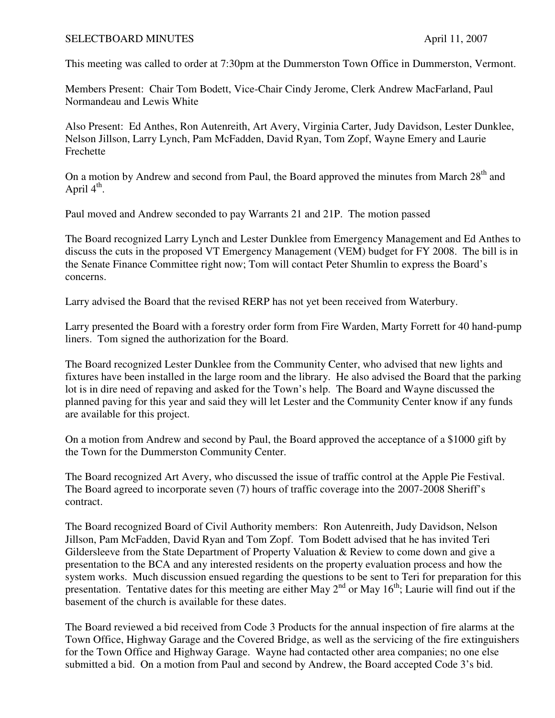## SELECTBOARD MINUTES April 11, 2007

This meeting was called to order at 7:30pm at the Dummerston Town Office in Dummerston, Vermont.

Members Present: Chair Tom Bodett, Vice-Chair Cindy Jerome, Clerk Andrew MacFarland, Paul Normandeau and Lewis White

Also Present: Ed Anthes, Ron Autenreith, Art Avery, Virginia Carter, Judy Davidson, Lester Dunklee, Nelson Jillson, Larry Lynch, Pam McFadden, David Ryan, Tom Zopf, Wayne Emery and Laurie Frechette

On a motion by Andrew and second from Paul, the Board approved the minutes from March 28<sup>th</sup> and April  $4^{\text{th}}$ .

Paul moved and Andrew seconded to pay Warrants 21 and 21P. The motion passed

The Board recognized Larry Lynch and Lester Dunklee from Emergency Management and Ed Anthes to discuss the cuts in the proposed VT Emergency Management (VEM) budget for FY 2008. The bill is in the Senate Finance Committee right now; Tom will contact Peter Shumlin to express the Board's concerns.

Larry advised the Board that the revised RERP has not yet been received from Waterbury.

Larry presented the Board with a forestry order form from Fire Warden, Marty Forrett for 40 hand-pump liners. Tom signed the authorization for the Board.

The Board recognized Lester Dunklee from the Community Center, who advised that new lights and fixtures have been installed in the large room and the library. He also advised the Board that the parking lot is in dire need of repaving and asked for the Town's help. The Board and Wayne discussed the planned paving for this year and said they will let Lester and the Community Center know if any funds are available for this project.

On a motion from Andrew and second by Paul, the Board approved the acceptance of a \$1000 gift by the Town for the Dummerston Community Center.

The Board recognized Art Avery, who discussed the issue of traffic control at the Apple Pie Festival. The Board agreed to incorporate seven (7) hours of traffic coverage into the 2007-2008 Sheriff's contract.

The Board recognized Board of Civil Authority members: Ron Autenreith, Judy Davidson, Nelson Jillson, Pam McFadden, David Ryan and Tom Zopf. Tom Bodett advised that he has invited Teri Gildersleeve from the State Department of Property Valuation & Review to come down and give a presentation to the BCA and any interested residents on the property evaluation process and how the system works. Much discussion ensued regarding the questions to be sent to Teri for preparation for this presentation. Tentative dates for this meeting are either May  $2<sup>nd</sup>$  or May  $16<sup>th</sup>$ ; Laurie will find out if the basement of the church is available for these dates.

The Board reviewed a bid received from Code 3 Products for the annual inspection of fire alarms at the Town Office, Highway Garage and the Covered Bridge, as well as the servicing of the fire extinguishers for the Town Office and Highway Garage. Wayne had contacted other area companies; no one else submitted a bid. On a motion from Paul and second by Andrew, the Board accepted Code 3's bid.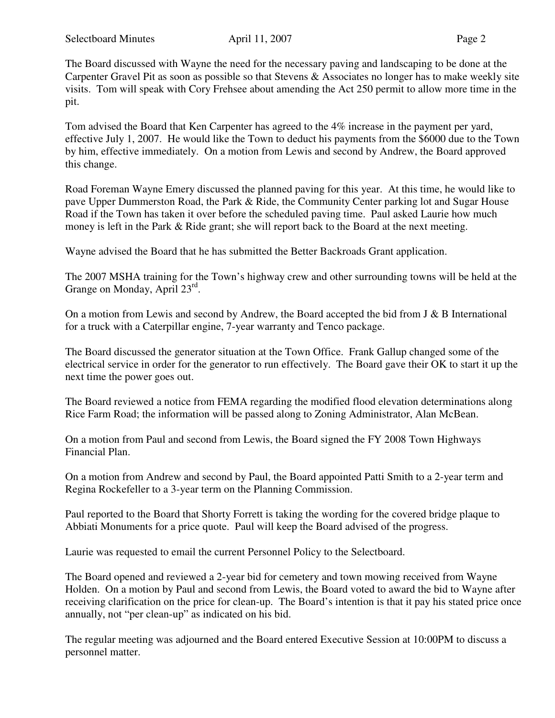The Board discussed with Wayne the need for the necessary paving and landscaping to be done at the Carpenter Gravel Pit as soon as possible so that Stevens & Associates no longer has to make weekly site visits. Tom will speak with Cory Frehsee about amending the Act 250 permit to allow more time in the pit.

Tom advised the Board that Ken Carpenter has agreed to the 4% increase in the payment per yard, effective July 1, 2007. He would like the Town to deduct his payments from the \$6000 due to the Town by him, effective immediately. On a motion from Lewis and second by Andrew, the Board approved this change.

Road Foreman Wayne Emery discussed the planned paving for this year. At this time, he would like to pave Upper Dummerston Road, the Park & Ride, the Community Center parking lot and Sugar House Road if the Town has taken it over before the scheduled paving time. Paul asked Laurie how much money is left in the Park & Ride grant; she will report back to the Board at the next meeting.

Wayne advised the Board that he has submitted the Better Backroads Grant application.

The 2007 MSHA training for the Town's highway crew and other surrounding towns will be held at the Grange on Monday, April 23rd.

On a motion from Lewis and second by Andrew, the Board accepted the bid from J & B International for a truck with a Caterpillar engine, 7-year warranty and Tenco package.

The Board discussed the generator situation at the Town Office. Frank Gallup changed some of the electrical service in order for the generator to run effectively. The Board gave their OK to start it up the next time the power goes out.

The Board reviewed a notice from FEMA regarding the modified flood elevation determinations along Rice Farm Road; the information will be passed along to Zoning Administrator, Alan McBean.

On a motion from Paul and second from Lewis, the Board signed the FY 2008 Town Highways Financial Plan.

On a motion from Andrew and second by Paul, the Board appointed Patti Smith to a 2-year term and Regina Rockefeller to a 3-year term on the Planning Commission.

Paul reported to the Board that Shorty Forrett is taking the wording for the covered bridge plaque to Abbiati Monuments for a price quote. Paul will keep the Board advised of the progress.

Laurie was requested to email the current Personnel Policy to the Selectboard.

The Board opened and reviewed a 2-year bid for cemetery and town mowing received from Wayne Holden. On a motion by Paul and second from Lewis, the Board voted to award the bid to Wayne after receiving clarification on the price for clean-up. The Board's intention is that it pay his stated price once annually, not "per clean-up" as indicated on his bid.

The regular meeting was adjourned and the Board entered Executive Session at 10:00PM to discuss a personnel matter.